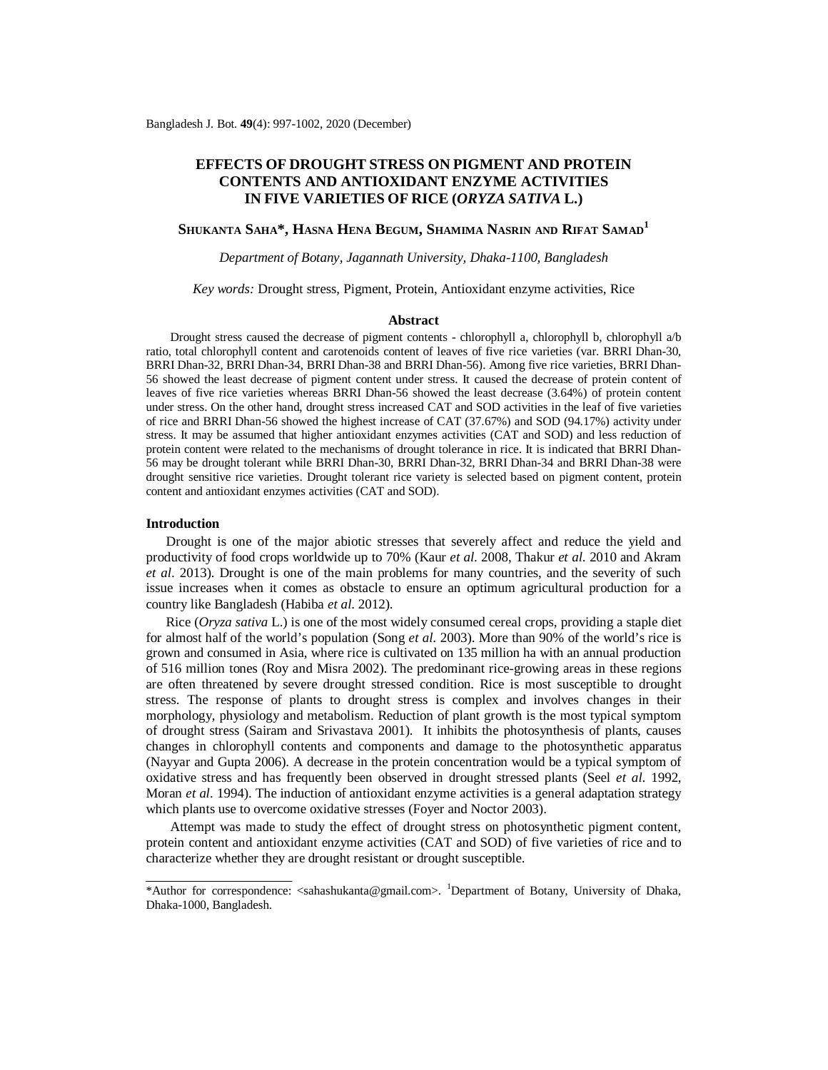# **EFFECTS OF DROUGHT STRESS ON PIGMENT AND PROTEIN CONTENTS AND ANTIOXIDANT ENZYME ACTIVITIES IN FIVE VARIETIES OF RICE (***ORYZA SATIVA* **L.)**

## **SHUKANTA SAHA\*, HASNA HENA BEGUM, SHAMIMA NASRIN AND RIFAT SAMAD<sup>1</sup>**

*Department of Botany, Jagannath University, Dhaka-1100, Bangladesh*

### *Key words:* Drought stress, Pigment, Protein, Antioxidant enzyme activities, Rice

#### **Abstract**

Drought stress caused the decrease of pigment contents - chlorophyll a, chlorophyll b, chlorophyll a/b ratio, total chlorophyll content and carotenoids content of leaves of five rice varieties (var. BRRI Dhan-30, BRRI Dhan-32, BRRI Dhan-34, BRRI Dhan-38 and BRRI Dhan-56). Among five rice varieties, BRRI Dhan-56 showed the least decrease of pigment content under stress. It caused the decrease of protein content of leaves of five rice varieties whereas BRRI Dhan-56 showed the least decrease (3.64%) of protein content under stress. On the other hand, drought stress increased CAT and SOD activities in the leaf of five varieties of rice and BRRI Dhan-56 showed the highest increase of CAT (37.67%) and SOD (94.17%) activity under stress. It may be assumed that higher antioxidant enzymes activities (CAT and SOD) and less reduction of protein content were related to the mechanisms of drought tolerance in rice. It is indicated that BRRI Dhan-56 may be drought tolerant while BRRI Dhan-30, BRRI Dhan-32, BRRI Dhan-34 and BRRI Dhan-38 were drought sensitive rice varieties. Drought tolerant rice variety is selected based on pigment content, protein content and antioxidant enzymes activities (CAT and SOD).

#### **Introduction**

 Drought is one of the major abiotic stresses that severely affect and reduce the yield and productivity of food crops worldwide up to 70% (Kaur *et al*. 2008, Thakur *et al*. 2010 and Akram *et al*. 2013). Drought is one of the main problems for many countries, and the severity of such issue increases when it comes as obstacle to ensure an optimum agricultural production for a country like Bangladesh (Habiba *et al*. 2012).

 Rice (*Oryza sativa* L.) is one of the most widely consumed cereal crops, providing a staple diet for almost half of the world's population (Song *et al*. 2003). More than 90% of the world's rice is grown and consumed in Asia, where rice is cultivated on 135 million ha with an annual production of 516 million tones (Roy and Misra 2002). The predominant rice-growing areas in these regions are often threatened by severe drought stressed condition. Rice is most susceptible to drought stress. The response of plants to drought stress is complex and involves changes in their morphology, physiology and metabolism. Reduction of plant growth is the most typical symptom of drought stress (Sairam and Srivastava 2001). It inhibits the photosynthesis of plants, causes changes in chlorophyll contents and components and damage to the photosynthetic apparatus (Nayyar and Gupta 2006). A decrease in the protein concentration would be a typical symptom of oxidative stress and has frequently been observed in drought stressed plants (Seel *et al*. 1992, Moran *et al*. 1994). The induction of antioxidant enzyme activities is a general adaptation strategy which plants use to overcome oxidative stresses (Foyer and Noctor 2003).

Attempt was made to study the effect of drought stress on photosynthetic pigment content, protein content and antioxidant enzyme activities (CAT and SOD) of five varieties of rice and to characterize whether they are drought resistant or drought susceptible.

<sup>\*</sup>Author for correspondence: <[sahashukanta@gmail.com](mailto:sahashukanta@gmail.com)>. <sup>1</sup>Department of Botany, University of Dhaka, Dhaka-1000, Bangladesh.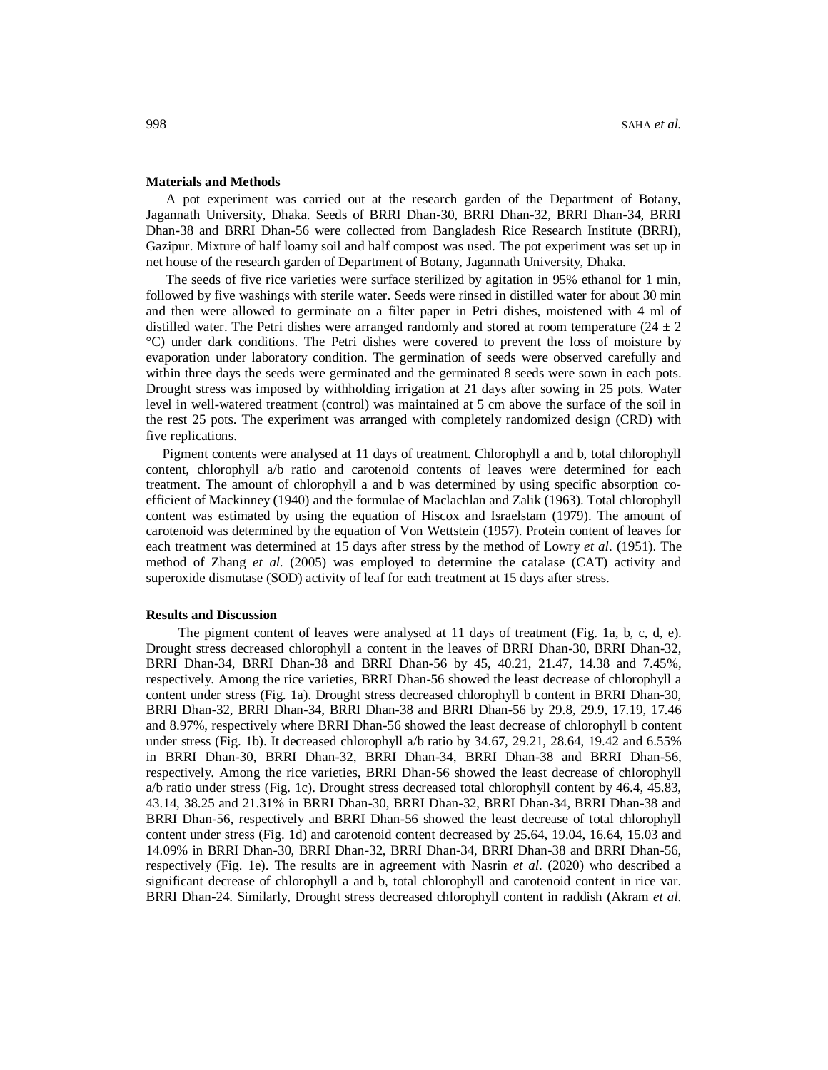#### **Materials and Methods**

 A pot experiment was carried out at the research garden of the Department of Botany, Jagannath University, Dhaka. Seeds of BRRI Dhan-30, BRRI Dhan-32, BRRI Dhan-34, BRRI Dhan-38 and BRRI Dhan-56 were collected from Bangladesh Rice Research Institute (BRRI), Gazipur. Mixture of half loamy soil and half compost was used. The pot experiment was set up in net house of the research garden of Department of Botany, Jagannath University, Dhaka.

 The seeds of five rice varieties were surface sterilized by agitation in 95% ethanol for 1 min, followed by five washings with sterile water. Seeds were rinsed in distilled water for about 30 min and then were allowed to germinate on a filter paper in Petri dishes, moistened with 4 ml of distilled water. The Petri dishes were arranged randomly and stored at room temperature ( $24 \pm 2$ ) °C) under dark conditions. The Petri dishes were covered to prevent the loss of moisture by evaporation under laboratory condition. The germination of seeds were observed carefully and within three days the seeds were germinated and the germinated 8 seeds were sown in each pots. Drought stress was imposed by withholding irrigation at 21 days after sowing in 25 pots. Water level in well-watered treatment (control) was maintained at 5 cm above the surface of the soil in the rest 25 pots. The experiment was arranged with completely randomized design (CRD) with five replications.

 Pigment contents were analysed at 11 days of treatment. Chlorophyll a and b, total chlorophyll content, chlorophyll a/b ratio and carotenoid contents of leaves were determined for each treatment. The amount of chlorophyll a and b was determined by using specific absorption coefficient of Mackinney (1940) and the formulae of Maclachlan and Zalik (1963). Total chlorophyll content was estimated by using the equation of Hiscox and Israelstam (1979). The amount of carotenoid was determined by the equation of Von Wettstein (1957). Protein content of leaves for each treatment was determined at 15 days after stress by the method of Lowry *et al*. (1951). The method of Zhang *et al.* (2005) was employed to determine the catalase (CAT) activity and superoxide dismutase (SOD) activity of leaf for each treatment at 15 days after stress.

#### **Results and Discussion**

 The pigment content of leaves were analysed at 11 days of treatment (Fig. 1a, b, c, d, e). Drought stress decreased chlorophyll a content in the leaves of BRRI Dhan-30, BRRI Dhan-32, BRRI Dhan-34, BRRI Dhan-38 and BRRI Dhan-56 by 45, 40.21, 21.47, 14.38 and 7.45%, respectively. Among the rice varieties, BRRI Dhan-56 showed the least decrease of chlorophyll a content under stress (Fig. 1a). Drought stress decreased chlorophyll b content in BRRI Dhan-30, BRRI Dhan-32, BRRI Dhan-34, BRRI Dhan-38 and BRRI Dhan-56 by 29.8, 29.9, 17.19, 17.46 and 8.97%, respectively where BRRI Dhan-56 showed the least decrease of chlorophyll b content under stress (Fig. 1b). It decreased chlorophyll a/b ratio by 34.67, 29.21, 28.64, 19.42 and 6.55% in BRRI Dhan-30, BRRI Dhan-32, BRRI Dhan-34, BRRI Dhan-38 and BRRI Dhan-56, respectively. Among the rice varieties, BRRI Dhan-56 showed the least decrease of chlorophyll a/b ratio under stress (Fig. 1c). Drought stress decreased total chlorophyll content by 46.4, 45.83, 43.14, 38.25 and 21.31% in BRRI Dhan-30, BRRI Dhan-32, BRRI Dhan-34, BRRI Dhan-38 and BRRI Dhan-56, respectively and BRRI Dhan-56 showed the least decrease of total chlorophyll content under stress (Fig. 1d) and carotenoid content decreased by 25.64, 19.04, 16.64, 15.03 and 14.09% in BRRI Dhan-30, BRRI Dhan-32, BRRI Dhan-34, BRRI Dhan-38 and BRRI Dhan-56, respectively (Fig. 1e). The results are in agreement with Nasrin *et al*. (2020) who described a significant decrease of chlorophyll a and b, total chlorophyll and carotenoid content in rice var. BRRI Dhan-24. Similarly, Drought stress decreased chlorophyll content in raddish (Akram *et al*.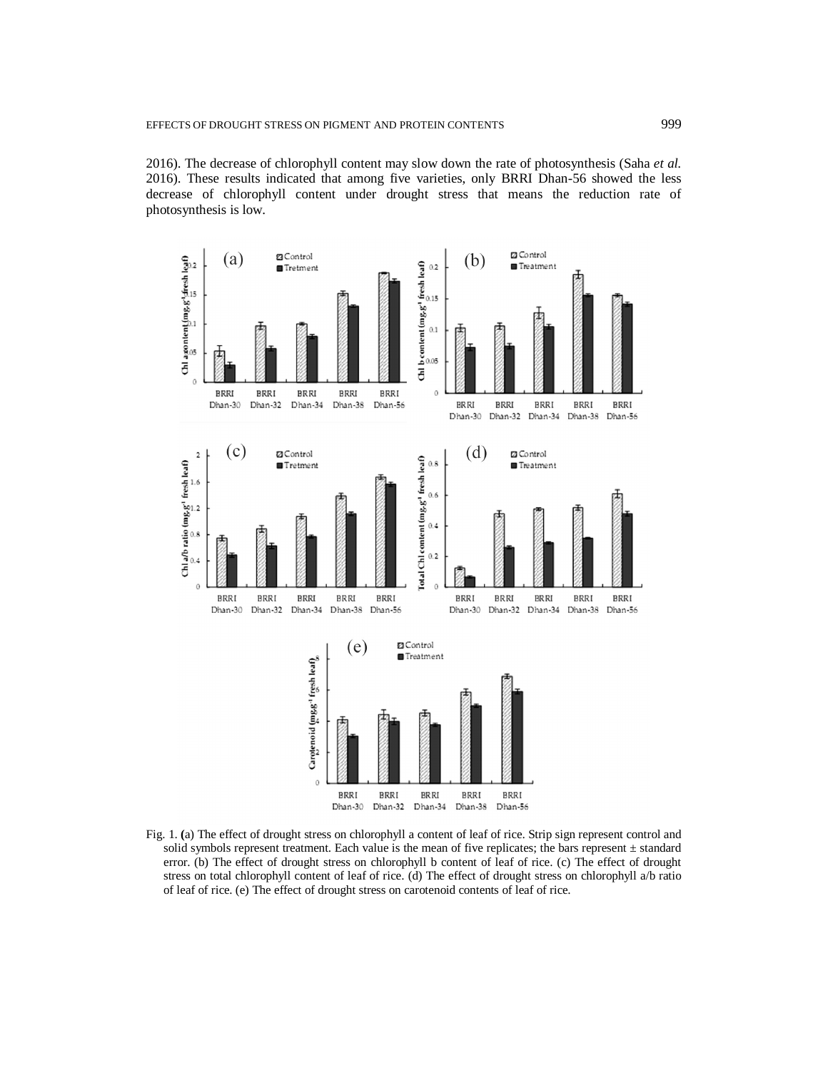2016). The decrease of chlorophyll content may slow down the rate of photosynthesis (Saha *et al.*  2016). These results indicated that among five varieties, only BRRI Dhan-56 showed the less decrease of chlorophyll content under drought stress that means the reduction rate of photosynthesis is low.



Fig. 1. **(**a) The effect of drought stress on chlorophyll a content of leaf of rice. Strip sign represent control and solid symbols represent treatment. Each value is the mean of five replicates; the bars represent  $\pm$  standard error. (b) The effect of drought stress on chlorophyll b content of leaf of rice. (c) The effect of drought stress on total chlorophyll content of leaf of rice. (d) The effect of drought stress on chlorophyll a/b ratio of leaf of rice. (e) The effect of drought stress on carotenoid contents of leaf of rice.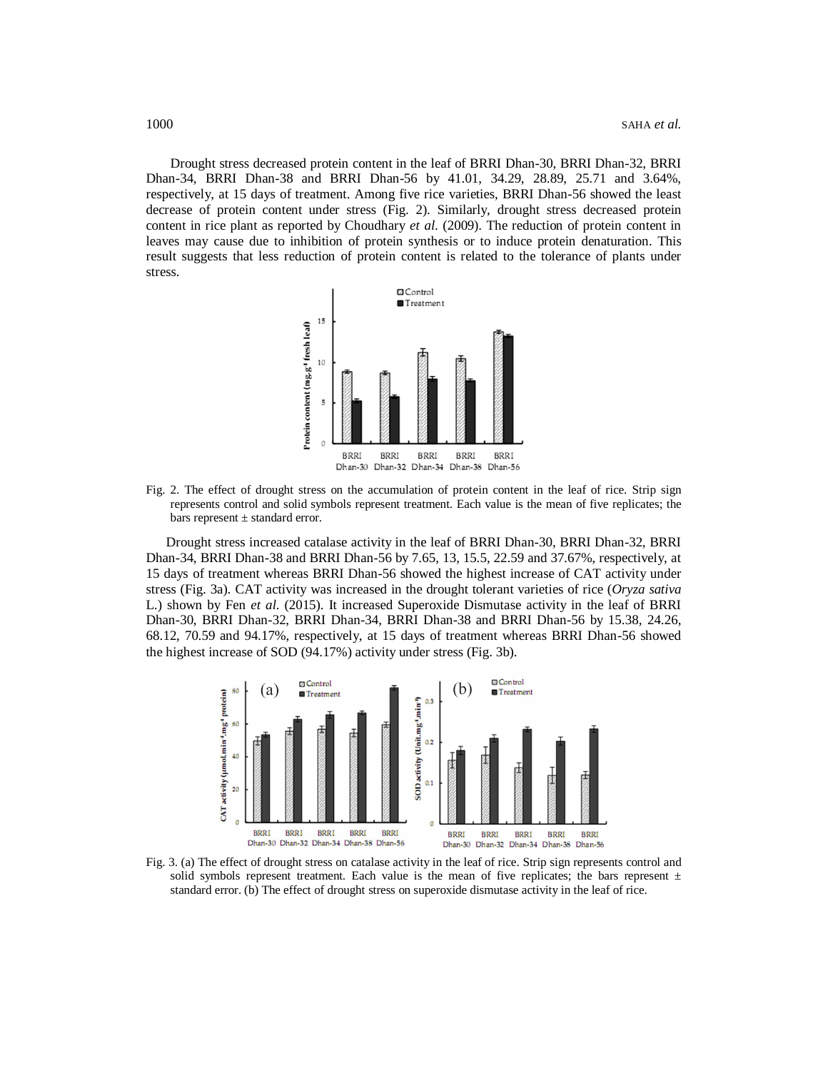Drought stress decreased protein content in the leaf of BRRI Dhan-30, BRRI Dhan-32, BRRI Dhan-34, BRRI Dhan-38 and BRRI Dhan-56 by 41.01, 34.29, 28.89, 25.71 and 3.64%, respectively, at 15 days of treatment. Among five rice varieties, BRRI Dhan-56 showed the least decrease of protein content under stress (Fig. 2). Similarly, drought stress decreased protein content in rice plant as reported by Choudhary *et al*. (2009). The reduction of protein content in leaves may cause due to inhibition of protein synthesis or to induce protein denaturation. This result suggests that less reduction of protein content is related to the tolerance of plants under stress.



Fig. 2. The effect of drought stress on the accumulation of protein content in the leaf of rice. Strip sign represents control and solid symbols represent treatment. Each value is the mean of five replicates; the bars represent ± standard error.

 Drought stress increased catalase activity in the leaf of BRRI Dhan-30, BRRI Dhan-32, BRRI Dhan-34, BRRI Dhan-38 and BRRI Dhan-56 by 7.65, 13, 15.5, 22.59 and 37.67%, respectively, at 15 days of treatment whereas BRRI Dhan-56 showed the highest increase of CAT activity under stress (Fig. 3a). CAT activity was increased in the drought tolerant varieties of rice (*Oryza sativa* L.) shown by Fen *et al*. (2015). It increased Superoxide Dismutase activity in the leaf of BRRI Dhan-30, BRRI Dhan-32, BRRI Dhan-34, BRRI Dhan-38 and BRRI Dhan-56 by 15.38, 24.26, 68.12, 70.59 and 94.17%, respectively, at 15 days of treatment whereas BRRI Dhan-56 showed the highest increase of SOD (94.17%) activity under stress (Fig. 3b).



Fig. 3. (a) The effect of drought stress on catalase activity in the leaf of rice. Strip sign represents control and solid symbols represent treatment. Each value is the mean of five replicates; the bars represent  $\pm$ standard error. (b) The effect of drought stress on superoxide dismutase activity in the leaf of rice.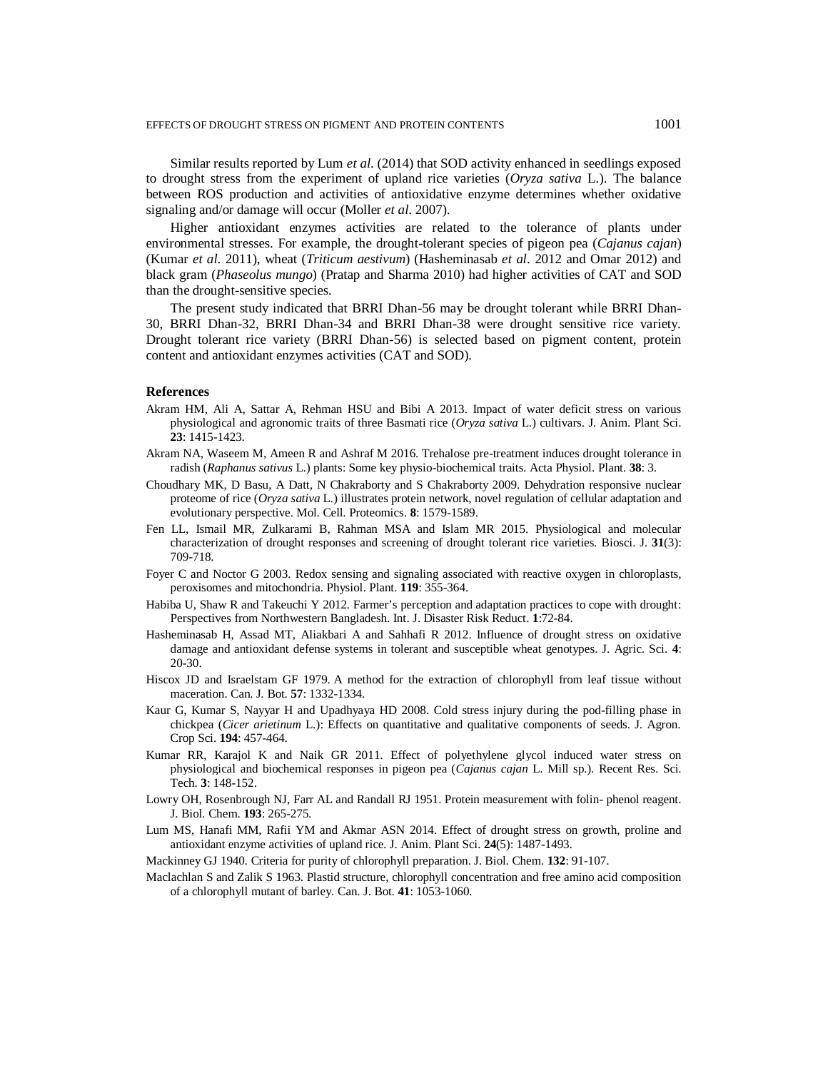Similar results reported by Lum *et al*. (2014) that SOD activity enhanced in seedlings exposed to drought stress from the experiment of upland rice varieties (*Oryza sativa* L.). The balance between ROS production and activities of antioxidative enzyme determines whether oxidative signaling and/or damage will occur (Moller *et al*. 2007).

Higher antioxidant enzymes activities are related to the tolerance of plants under environmental stresses. For example, the drought-tolerant species of pigeon pea (*Cajanus cajan*) (Kumar *et al*. 2011), wheat (*Triticum aestivum*) (Hasheminasab *et al*. 2012 and Omar 2012) and black gram (*Phaseolus mungo*) (Pratap and Sharma 2010) had higher activities of CAT and SOD than the drought-sensitive species.

The present study indicated that BRRI Dhan-56 may be drought tolerant while BRRI Dhan-30, BRRI Dhan-32, BRRI Dhan-34 and BRRI Dhan-38 were drought sensitive rice variety. Drought tolerant rice variety (BRRI Dhan-56) is selected based on pigment content, protein content and antioxidant enzymes activities (CAT and SOD).

#### **References**

- Akram HM, Ali A, Sattar A, Rehman HSU and Bibi A 2013. Impact of water deficit stress on various physiological and agronomic traits of three Basmati rice (*Oryza sativa* L.) cultivars. J. Anim. Plant Sci. **23**: 1415-1423.
- Akram NA, Waseem M, Ameen R and Ashraf M 2016. Trehalose pre-treatment induces drought tolerance in radish (*Raphanus sativus* L.) plants: Some key physio-biochemical traits. Acta Physiol. Plant. **38**: 3.
- Choudhary MK, D Basu, A Datt, N Chakraborty and S Chakraborty 2009. Dehydration responsive nuclear proteome of rice (*Oryza sativa* L.) illustrates protein network, novel regulation of cellular adaptation and evolutionary perspective. Mol. Cell. Proteomics. **8**: 1579-1589.
- Fen LL, Ismail MR, Zulkarami B, Rahman MSA and Islam MR 2015. Physiological and molecular characterization of drought responses and screening of drought tolerant rice varieties. Biosci. J. **31**(3): 709-718.
- Foyer C and Noctor G 2003. Redox sensing and signaling associated with reactive oxygen in chloroplasts, peroxisomes and mitochondria. Physiol. Plant. **119**: 355-364.
- Habiba U, Shaw R and Takeuchi Y 2012. Farmer's perception and adaptation practices to cope with drought: Perspectives from Northwestern Bangladesh. Int. J. Disaster Risk Reduct. **1**:72-84.
- Hasheminasab H, Assad MT, Aliakbari A and Sahhafi R 2012. Influence of drought stress on oxidative damage and antioxidant defense systems in tolerant and susceptible wheat genotypes. J. Agric. Sci. **4**: 20-30.
- Hiscox JD and Israelstam GF 1979. A method for the extraction of chlorophyll from leaf tissue without maceration. Can. J. Bot. **57**: 1332-1334.
- Kaur G, Kumar S, Nayyar H and Upadhyaya HD 2008. Cold stress injury during the pod-filling phase in chickpea (*Cicer arietinum* L.): Effects on quantitative and qualitative components of seeds. J. Agron. Crop Sci. **194**: 457-464.
- Kumar RR, Karajol K and Naik GR 2011. Effect of polyethylene glycol induced water stress on physiological and biochemical responses in pigeon pea (*Cajanus cajan* L. Mill sp.). Recent Res. Sci. Tech. **3**: 148-152.
- Lowry OH, Rosenbrough NJ, Farr AL and Randall RJ 1951. Protein measurement with folin-phenol reagent. J. Biol. Chem. **193**: 265-275.
- Lum MS, Hanafi MM, Rafii YM and Akmar ASN 2014. Effect of drought stress on growth, proline and antioxidant enzyme activities of upland rice. J. Anim. Plant Sci. **24**(5): 1487-1493.
- Mackinney GJ 1940. Criteria for purity of chlorophyll preparation. J. Biol. Chem. **132**: 91-107.
- Maclachlan S and Zalik S 1963. Plastid structure, chlorophyll concentration and free amino acid composition of a chlorophyll mutant of barley. Can. J. Bot. **41**: 1053-1060.